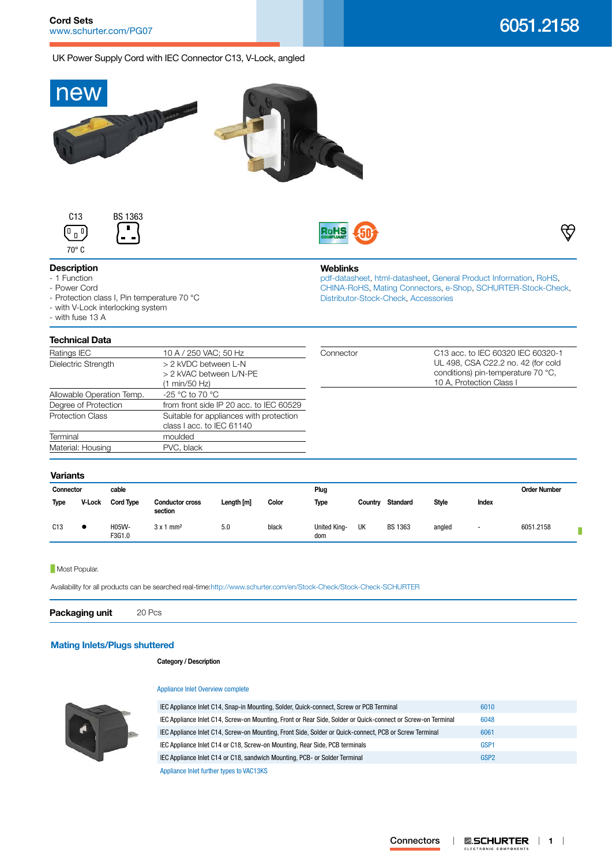UK Power Supply Cord with IEC Connector C13, V-Lock, angled







**Weblinks**

[Distributor-Stock-Check,](http:///en/Stock-Check/Stock-Check-Distributor?partnumber1=6051.2158) [Accessories](http://www.schurter.ch/wwwsc/con_z01.asp)

[pdf-datasheet](http://www.schurter.ch/pdf/english/typ_6051.2158.pdf), [html-datasheet](http://www.schurter.ch/en/datasheet/6051.2158), [General Product Information,](http://www.schurter.ch/products/iec_connector_overview.asp) [RoHS,](http://www.schurter.ch/company/rohs.asp) [CHINA-RoHS,](http://www.schurter.ch/company/china_rohs.asp) [Mating Connectors](http://www.schurter.ch/Components/Connectors/Mating-Connectors), [e-Shop](http:///en/Stock-Check/e-Shop?MATNR=6051.2158&COM_QTY=1&AUTOSEARCH=true&VARIANT=E-SHOP), [SCHURTER-Stock-Check](http:///en/Stock-Check/Stock-Check-SCHURTER?MATNR=6051.2158&COM_QTY=20&AUTOSEARCH=true),



# **Description**

### - 1 Function

- Power Cord

- Protection class I, Pin temperature 70 °C
- with V-Lock interlocking system
- with fuse 13 A

## **Technical Data**

| 10 A / 250 VAC; 50 Hz                   | Connector | C13 acc. to IEC 60320 IEC 60320-1  |  |  |  |
|-----------------------------------------|-----------|------------------------------------|--|--|--|
| > 2 kVDC between L-N                    |           | UL 498, CSA C22.2 no. 42 (for cold |  |  |  |
| > 2 kVAC between L/N-PE                 |           | conditions) pin-temperature 70 °C, |  |  |  |
| (1 min/50 Hz)                           |           | 10 A, Protection Class I           |  |  |  |
| -25 °C to 70 °C                         |           |                                    |  |  |  |
| from front side IP 20 acc. to IEC 60529 |           |                                    |  |  |  |
| Suitable for appliances with protection |           |                                    |  |  |  |
| class I acc. to IEC 61140               |           |                                    |  |  |  |
| moulded                                 |           |                                    |  |  |  |
| PVC, black                              |           |                                    |  |  |  |
|                                         |           |                                    |  |  |  |

#### **Variants**

| cable<br>Connector |               |                  |                                   | Plug       |       |                            |         | <b>Order Number</b> |              |                          |           |
|--------------------|---------------|------------------|-----------------------------------|------------|-------|----------------------------|---------|---------------------|--------------|--------------------------|-----------|
| Type               | <b>V-Lock</b> | <b>Cord Type</b> | <b>Conductor cross</b><br>section | Length [m] | Color | Type                       | Country | <b>Standard</b>     | <b>Style</b> | Index                    |           |
| C13                |               | H05VV-<br>F3G1.0 | $3x1$ mm <sup>2</sup>             | 5.0        | black | <b>United King-</b><br>dom | UK      | BS 1363             | angled       | $\overline{\phantom{a}}$ | 6051.2158 |

### **Most Popular.**

Availability for all products can be searched real-time[:http://www.schurter.com/en/Stock-Check/Stock-Check-SCHURTER](http://www.schurter.com/en/Stock-Check/Stock-Check-SCHURTER)

**Packaging unit** 20 Pcs

# **[Mating Inlets/Plugs shuttered](http://www.schurter.ch/Components/Connectors/Mating-Connectors?out_type=VAC13KS)**

**Category / Description**

### [Appliance Inlet Overview complete](http://www.schurter.ch/pg07)

| IEC Appliance Inlet C14, Snap-in Mounting, Solder, Quick-connect, Screw or PCB Terminal                      | 6010             |  |
|--------------------------------------------------------------------------------------------------------------|------------------|--|
| IEC Appliance Inlet C14, Screw-on Mounting, Front or Rear Side, Solder or Quick-connect or Screw-on Terminal | 6048             |  |
| IEC Appliance Inlet C14, Screw-on Mounting, Front Side, Solder or Quick-connect, PCB or Screw Terminal       | 6061             |  |
| IEC Appliance Inlet C14 or C18, Screw-on Mounting, Rear Side, PCB terminals                                  | GSP <sub>1</sub> |  |
| IEC Appliance Inlet C14 or C18, sandwich Mounting, PCB- or Solder Terminal                                   | GSP <sub>2</sub> |  |
| Appliance Inlet further types to VAC13KS                                                                     |                  |  |